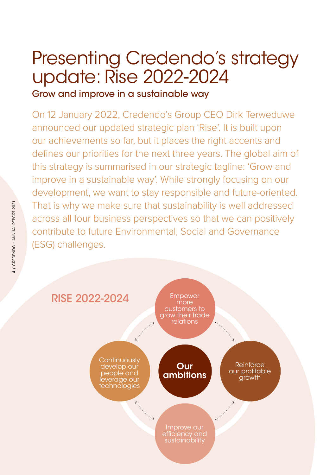# Presenting Credendo's strategy update: Rise 2022-2024

### Grow and improve in a sustainable way

On 12 January 2022, Credendo's Group CEO Dirk Terweduwe announced our updated strategic plan 'Rise'. It is built upon our achievements so far, but it places the right accents and defines our priorities for the next three years. The global aim of this strategy is summarised in our strategic tagline: 'Grow and improve in a sustainable way'. While strongly focusing on our development, we want to stay responsible and future-oriented. That is why we make sure that sustainability is well addressed across all four business perspectives so that we can positively contribute to future Environmental, Social and Governance (ESG) challenges.